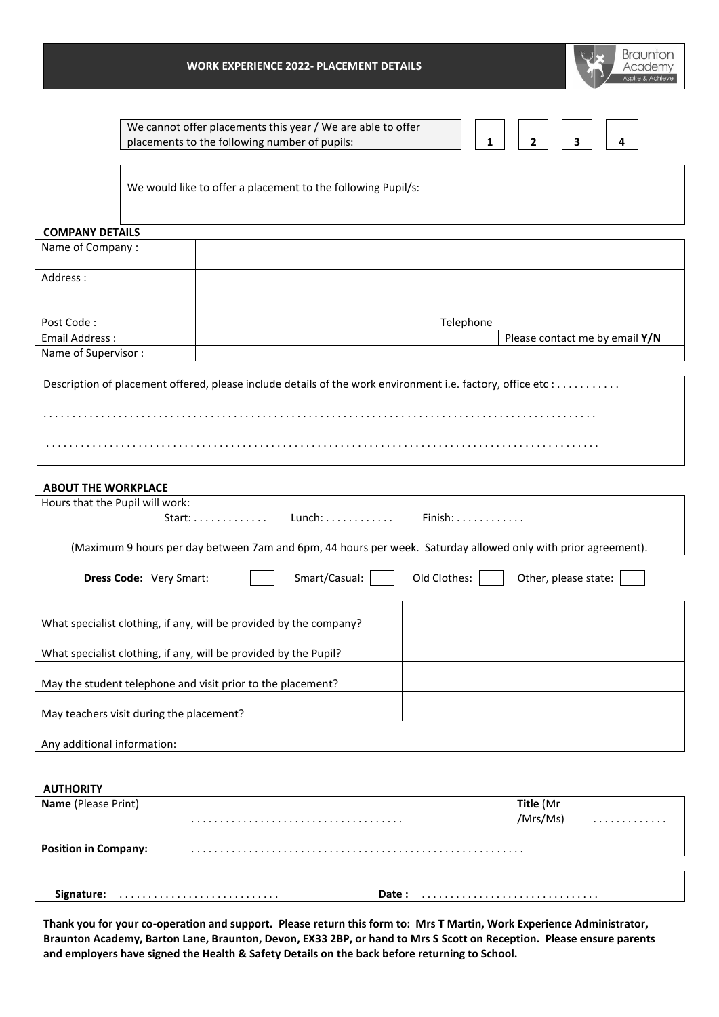

We cannot offer placements this year / We are able to offer placements to the following number of pupils: **1 2 3 4**

We would like to offer a placement to the following Pupil/s:

## **COMPANY DETAILS**

| Name of Company:    |           |                                |
|---------------------|-----------|--------------------------------|
| Address:            |           |                                |
| Post Code:          | Telephone |                                |
| Email Address:      |           | Please contact me by email Y/N |
| Name of Supervisor: |           |                                |

Description of placement offered, please include details of the work environment i.e. factory, office etc : . . . . . . . . . . . . . . . . . . . . . . . . . . . . . . . . . . . . . . . . . . . . . . . . . . . . . . . . . . . . . . . . . . . . . . . . . . . . . . . . . . . . . . . . . . . . . . . . . . . . . . . . . . . . . . . . . . . . . . . . . . . . . . . . . . . . . . . . . . . . . . . . . . . . . . . . . . . . . . . . . . . . . . . . . . . . . . . . . . . . . . . . . . . . . . . . . . . . . . . . . .

# **ABOUT THE WORKPLACE**

| <b>ABOUT THE WORKPLACE</b>                                                                                    |  |
|---------------------------------------------------------------------------------------------------------------|--|
| Hours that the Pupil will work:                                                                               |  |
| Start: Lunch: Finish:                                                                                         |  |
|                                                                                                               |  |
| (Maximum 9 hours per day between 7am and 6pm, 44 hours per week. Saturday allowed only with prior agreement). |  |
| Smart/Casual:<br>Old Clothes:<br>Other, please state:<br><b>Dress Code: Very Smart:</b>                       |  |
| What specialist clothing, if any, will be provided by the company?                                            |  |
| What specialist clothing, if any, will be provided by the Pupil?                                              |  |
| May the student telephone and visit prior to the placement?                                                   |  |
| May teachers visit during the placement?                                                                      |  |
| Any additional information:                                                                                   |  |
|                                                                                                               |  |

| <b>AUTHORITY</b>            |       |           |   |
|-----------------------------|-------|-----------|---|
| <b>Name (Please Print)</b>  |       | Title (Mr |   |
|                             |       | /Mrs/Ms)  | . |
| <b>Position in Company:</b> |       |           |   |
|                             |       |           |   |
|                             | Date: |           |   |

**Thank you for your co-operation and support. Please return this form to: Mrs T Martin, Work Experience Administrator, Braunton Academy, Barton Lane, Braunton, Devon, EX33 2BP, or hand to Mrs S Scott on Reception. Please ensure parents and employers have signed the Health & Safety Details on the back before returning to School.**